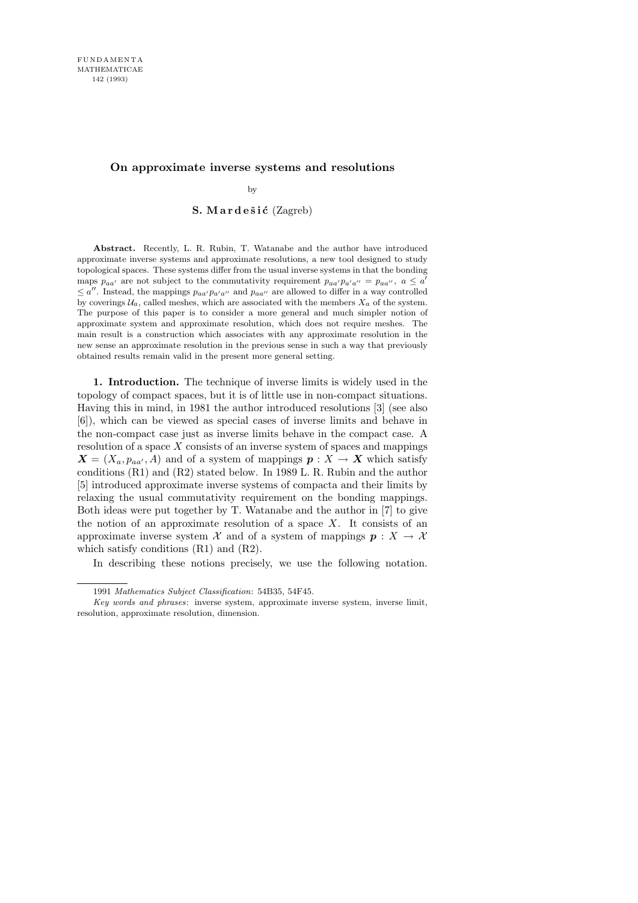## **On approximate inverse systems and resolutions**

by

## S. Mardešić  $(Zagreb)$

**Abstract.** Recently, L. R. Rubin, T. Watanabe and the author have introduced approximate inverse systems and approximate resolutions, a new tool designed to study topological spaces. These systems differ from the usual inverse systems in that the bonding maps  $p_{aa'}$  are not subject to the commutativity requirement  $p_{aa'}p_{a'a''} = p_{aa''}, a \leq a'$  $\leq a''$ . Instead, the mappings  $p_{aa'}p_{a'a''}$  and  $p_{aa''}$  are allowed to differ in a way controlled by coverings  $U_a$ , called meshes, which are associated with the members  $X_a$  of the system. The purpose of this paper is to consider a more general and much simpler notion of approximate system and approximate resolution, which does not require meshes. The main result is a construction which associates with any approximate resolution in the new sense an approximate resolution in the previous sense in such a way that previously obtained results remain valid in the present more general setting.

1. Introduction. The technique of inverse limits is widely used in the topology of compact spaces, but it is of little use in non-compact situations. Having this in mind, in 1981 the author introduced resolutions [3] (see also [6]), which can be viewed as special cases of inverse limits and behave in the non-compact case just as inverse limits behave in the compact case. A resolution of a space  $X$  consists of an inverse system of spaces and mappings  $X = (X_a, p_{aa'}, A)$  and of a system of mappings  $p : X \to X$  which satisfy conditions (R1) and (R2) stated below. In 1989 L. R. Rubin and the author [5] introduced approximate inverse systems of compacta and their limits by relaxing the usual commutativity requirement on the bonding mappings. Both ideas were put together by T. Watanabe and the author in [7] to give the notion of an approximate resolution of a space  $X$ . It consists of an approximate inverse system  $\mathcal X$  and of a system of mappings  $p : X \to \mathcal X$ which satisfy conditions  $(R1)$  and  $(R2)$ .

In describing these notions precisely, we use the following notation.

<sup>1991</sup> *Mathematics Subject Classification*: 54B35, 54F45.

*Key words and phrases*: inverse system, approximate inverse system, inverse limit, resolution, approximate resolution, dimension.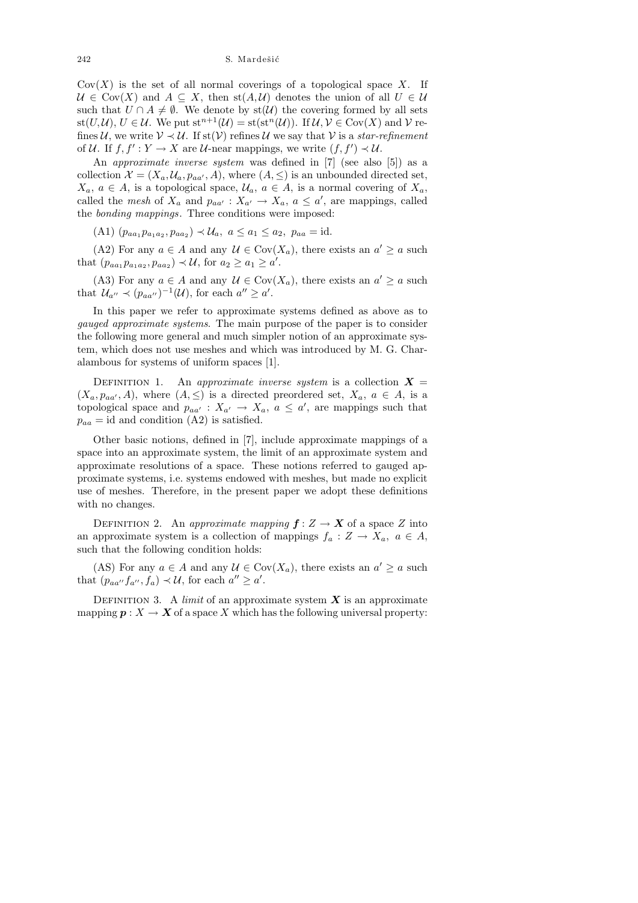$Cov(X)$  is the set of all normal coverings of a topological space X. If  $U \in \text{Cov}(X)$  and  $A \subseteq X$ , then st $(A, \mathcal{U})$  denotes the union of all  $U \in \mathcal{U}$ such that  $U \cap A \neq \emptyset$ . We denote by st( $\mathcal{U}$ ) the covering formed by all sets st(U,U),  $U \in \mathcal{U}$ . We put st<sup>n+1</sup>( $\mathcal{U}$ ) = st(st<sup>n</sup>( $\mathcal{U}$ )). If  $\mathcal{U}, \mathcal{V} \in \text{Cov}(X)$  and  $\mathcal{V}$  refines U, we write  $V \prec U$ . If st(V) refines U we say that V is a star-refinement of U. If  $f, f' : Y \to X$  are U-near mappings, we write  $(f, f') \prec U$ .

An approximate inverse system was defined in [7] (see also [5]) as a collection  $\mathcal{X} = (X_a, \mathcal{U}_a, p_{aa'}, A)$ , where  $(A, \leq)$  is an unbounded directed set,  $X_a, a \in A$ , is a topological space,  $\mathcal{U}_a, a \in A$ , is a normal covering of  $X_a$ , called the mesh of  $X_a$  and  $p_{aa'} : X_{a'} \to X_a$ ,  $a \le a'$ , are mappings, called the bonding mappings. Three conditions were imposed:

(A1)  $(p_{aa_1}p_{a_1a_2}, p_{aa_2}) \prec \mathcal{U}_a, \ a \leq a_1 \leq a_2, \ p_{aa} = \text{id}.$ 

(A2) For any  $a \in A$  and any  $\mathcal{U} \in \text{Cov}(X_a)$ , there exists an  $a' \ge a$  such that  $(p_{aa_1}p_{a_1a_2}, p_{aa_2}) \prec \mathcal{U}$ , for  $a_2 \ge a_1 \ge a'$ .

(A3) For any  $a \in A$  and any  $\mathcal{U} \in \text{Cov}(X_a)$ , there exists an  $a' \ge a$  such that  $\mathcal{U}_{a''} \prec (p_{aa''})^{-1}(\mathcal{U})$ , for each  $a'' \ge a'$ .

In this paper we refer to approximate systems defined as above as to gauged approximate systems. The main purpose of the paper is to consider the following more general and much simpler notion of an approximate system, which does not use meshes and which was introduced by M. G. Charalambous for systems of uniform spaces [1].

DEFINITION 1. An approximate inverse system is a collection  $X =$  $(X_a, p_{aa'}, A)$ , where  $(A, \leq)$  is a directed preordered set,  $X_a, a \in A$ , is a topological space and  $p_{aa'} : X_{a'} \to X_a, a \le a'$ , are mappings such that  $p_{aa} = id$  and condition (A2) is satisfied.

Other basic notions, defined in [7], include approximate mappings of a space into an approximate system, the limit of an approximate system and approximate resolutions of a space. These notions referred to gauged approximate systems, i.e. systems endowed with meshes, but made no explicit use of meshes. Therefore, in the present paper we adopt these definitions with no changes.

DEFINITION 2. An approximate mapping  $f: Z \to X$  of a space Z into an approximate system is a collection of mappings  $f_a: Z \to X_a, a \in A$ , such that the following condition holds:

(AS) For any  $a \in A$  and any  $\mathcal{U} \in \text{Cov}(X_a)$ , there exists an  $a' \ge a$  such that  $(p_{aa''}f_{a''}, f_a) \prec \mathcal{U}$ , for each  $a'' \ge a'$ .

DEFINITION 3. A *limit* of an approximate system  $X$  is an approximate mapping  $p : X \to X$  of a space X which has the following universal property: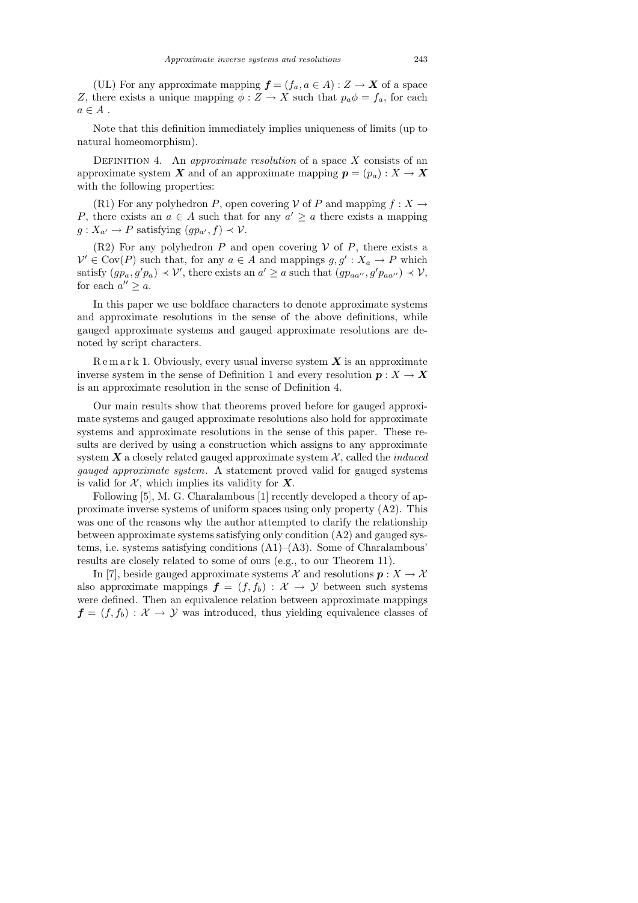Note that this definition immediately implies uniqueness of limits (up to natural homeomorphism).

DEFINITION 4. An *approximate resolution* of a space  $X$  consists of an approximate system X and of an approximate mapping  $p = (p_a) : X \to X$ with the following properties:

(R1) For any polyhedron P, open covering V of P and mapping  $f: X \rightarrow$ P, there exists an  $a \in A$  such that for any  $a' \geq a$  there exists a mapping  $g: X_{a'} \to P$  satisfying  $(gp_{a'}, f) \to V$ .

(R2) For any polyhedron P and open covering V of P, there exists a  $\mathcal{V}' \in \text{Cov}(P)$  such that, for any  $a \in A$  and mappings  $g, g' : X_a \to P$  which satisfy  $(gp_a, g'p_a) \prec \mathcal{V}'$ , there exists an  $a' \ge a$  such that  $(gp_{aa''}, g'p_{aa''}) \prec \mathcal{V}$ , for each  $a'' \geq a$ .

In this paper we use boldface characters to denote approximate systems and approximate resolutions in the sense of the above definitions, while gauged approximate systems and gauged approximate resolutions are denoted by script characters.

 $R$  e m a r k 1. Obviously, every usual inverse system  $X$  is an approximate inverse system in the sense of Definition 1 and every resolution  $p: X \to X$ is an approximate resolution in the sense of Definition 4.

Our main results show that theorems proved before for gauged approximate systems and gauged approximate resolutions also hold for approximate systems and approximate resolutions in the sense of this paper. These results are derived by using a construction which assigns to any approximate system  $\boldsymbol{X}$  a closely related gauged approximate system  $\mathcal{X}$ , called the *induced* gauged approximate system. A statement proved valid for gauged systems is valid for  $X$ , which implies its validity for  $X$ .

Following [5], M. G. Charalambous [1] recently developed a theory of approximate inverse systems of uniform spaces using only property (A2). This was one of the reasons why the author attempted to clarify the relationship between approximate systems satisfying only condition (A2) and gauged systems, i.e. systems satisfying conditions  $(A1)$ – $(A3)$ . Some of Charalambous' results are closely related to some of ours (e.g., to our Theorem 11).

In [7], beside gauged approximate systems X and resolutions  $p: X \to X$ also approximate mappings  $f = (f, f_b) : \mathcal{X} \to \mathcal{Y}$  between such systems were defined. Then an equivalence relation between approximate mappings  $f = (f, f_b) : \mathcal{X} \to \mathcal{Y}$  was introduced, thus yielding equivalence classes of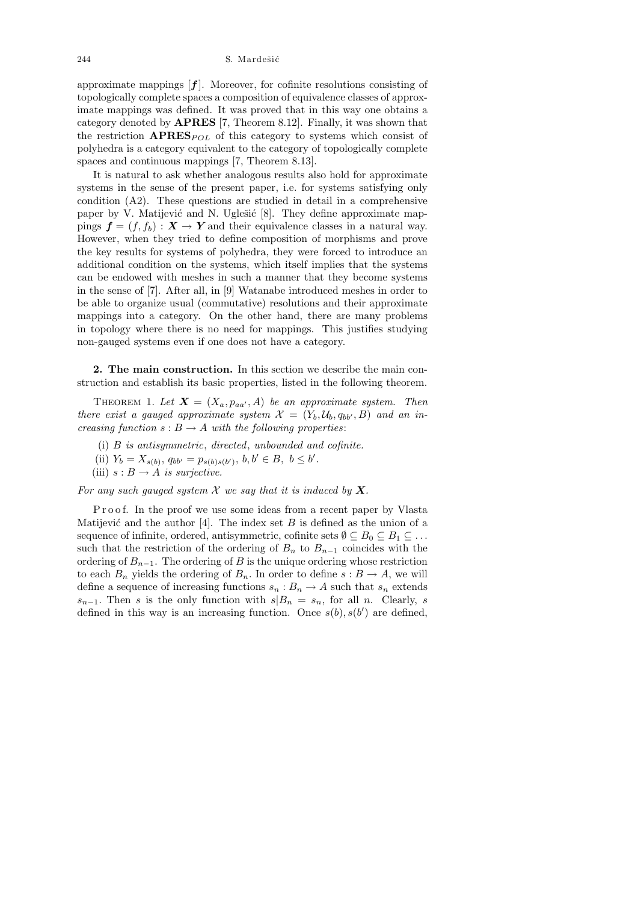approximate mappings  $[f]$ . Moreover, for cofinite resolutions consisting of topologically complete spaces a composition of equivalence classes of approximate mappings was defined. It was proved that in this way one obtains a category denoted by APRES [7, Theorem 8.12]. Finally, it was shown that the restriction  $APRES_{POL}$  of this category to systems which consist of polyhedra is a category equivalent to the category of topologically complete spaces and continuous mappings [7, Theorem 8.13].

It is natural to ask whether analogous results also hold for approximate systems in the sense of the present paper, i.e. for systems satisfying only condition (A2). These questions are studied in detail in a comprehensive paper by V. Matijević and N. Uglešić  $[8]$ . They define approximate mappings  $f = (f, f_b) : X \to Y$  and their equivalence classes in a natural way. However, when they tried to define composition of morphisms and prove the key results for systems of polyhedra, they were forced to introduce an additional condition on the systems, which itself implies that the systems can be endowed with meshes in such a manner that they become systems in the sense of [7]. After all, in [9] Watanabe introduced meshes in order to be able to organize usual (commutative) resolutions and their approximate mappings into a category. On the other hand, there are many problems in topology where there is no need for mappings. This justifies studying non-gauged systems even if one does not have a category.

2. The main construction. In this section we describe the main construction and establish its basic properties, listed in the following theorem.

THEOREM 1. Let  $\mathbf{X} = (X_a, p_{aa'}, A)$  be an approximate system. Then there exist a gauged approximate system  $\mathcal{X} = (Y_b, \mathcal{U}_b, q_{bb'}, B)$  and an increasing function  $s : B \to A$  with the following properties:

- (i) B is antisymmetric, directed, unbounded and cofinite.
- (ii)  $Y_b = X_{s(b)}, q_{bb'} = p_{s(b)s(b')}, b, b' \in B, b \leq b'.$
- (iii)  $s : B \to A$  is surjective.

For any such gauged system  $\mathcal X$  we say that it is induced by  $\mathbf X$ .

Proof. In the proof we use some ideas from a recent paper by Vlasta Matijević and the author [4]. The index set  $B$  is defined as the union of a sequence of infinite, ordered, antisymmetric, cofinite sets  $\emptyset \subseteq B_0 \subseteq B_1 \subseteq \ldots$ such that the restriction of the ordering of  $B_n$  to  $B_{n-1}$  coincides with the ordering of  $B_{n-1}$ . The ordering of B is the unique ordering whose restriction to each  $B_n$  yields the ordering of  $B_n$ . In order to define  $s : B \to A$ , we will define a sequence of increasing functions  $s_n : B_n \to A$  such that  $s_n$  extends  $s_{n-1}$ . Then s is the only function with  $s|B_n = s_n$ , for all n. Clearly, s defined in this way is an increasing function. Once  $s(b), s(b')$  are defined,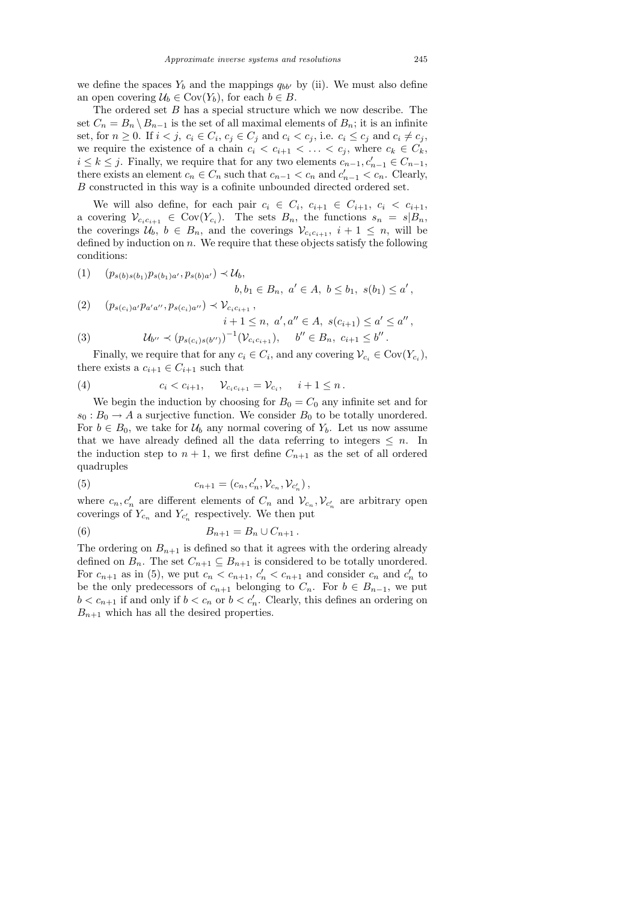The ordered set B has a special structure which we now describe. The set  $C_n = B_n \setminus B_{n-1}$  is the set of all maximal elements of  $B_n$ ; it is an infinite set, for  $n \geq 0$ . If  $i < j$ ,  $c_i \in C_i$ ,  $c_j \in C_j$  and  $c_i < c_j$ , i.e.  $c_i \leq c_j$  and  $c_i \neq c_j$ , we require the existence of a chain  $c_i < c_{i+1} < \ldots < c_j$ , where  $c_k \in C_k$ ,  $i \leq k \leq j$ . Finally, we require that for any two elements  $c_{n-1}, c'_{n-1} \in C_{n-1}$ , there exists an element  $c_n \in C_n$  such that  $c_{n-1} < c_n$  and  $c'_{n-1} < c_n$ . Clearly, B constructed in this way is a cofinite unbounded directed ordered set.

We will also define, for each pair  $c_i \in C_i$ ,  $c_{i+1} \in C_{i+1}$ ,  $c_i < c_{i+1}$ , a covering  $\mathcal{V}_{c_i c_{i+1}} \in \text{Cov}(Y_{c_i})$ . The sets  $B_n$ , the functions  $s_n = s | B_n$ , the coverings  $\mathcal{U}_b$ ,  $b \in B_n$ , and the coverings  $\mathcal{V}_{c_ic_{i+1}}, i+1 \leq n$ , will be defined by induction on  $n$ . We require that these objects satisfy the following conditions:

$$
(1) \quad (p_{s(b)s(b_1)}p_{s(b_1)a'}, p_{s(b)a'}) \prec \mathcal{U}_b, b, b_1 \in B_n, a' \in A, b \le b_1, s(b_1) \le a'
$$

$$
(2) \quad (p_{s(c_i)a'}p_{a'a''}, p_{s(c_i)a''}) \prec \mathcal{V}_{c_ic_{i+1}},
$$
  
\n
$$
i+1 \leq n, a', a'' \in A, s(c_{i+1}) \leq a' \leq a'',
$$
  
\n
$$
(3) \quad \mathcal{U}_{b''} \prec (p_{s(c_i)s(b'')})^{-1}(\mathcal{V}_{c_ic_{i+1}}), \quad b'' \in B_n, c_{i+1} \leq b''.
$$

Finally, we require that for any  $c_i \in C_i$ , and any covering  $\mathcal{V}_{c_i} \in \text{Cov}(Y_{c_i})$ , there exists a  $c_{i+1} \in C_{i+1}$  such that

(4) 
$$
c_i < c_{i+1}, \quad \mathcal{V}_{c_i c_{i+1}} = \mathcal{V}_{c_i}, \quad i+1 \leq n.
$$

We begin the induction by choosing for  $B_0 = C_0$  any infinite set and for  $s_0 : B_0 \to A$  a surjective function. We consider  $B_0$  to be totally unordered. For  $b \in B_0$ , we take for  $\mathcal{U}_b$  any normal covering of  $Y_b$ . Let us now assume that we have already defined all the data referring to integers  $\leq n$ . In the induction step to  $n + 1$ , we first define  $C_{n+1}$  as the set of all ordered quadruples

(5) 
$$
c_{n+1} = (c_n, c'_n, \mathcal{V}_{c_n}, \mathcal{V}_{c'_n}),
$$

where  $c_n, c'_n$  are different elements of  $C_n$  and  $\mathcal{V}_{c_n}, \mathcal{V}_{c'_n}$  are arbitrary open coverings of  $Y_{c_n}$  and  $Y_{c'_n}$  respectively. We then put

(6) 
$$
B_{n+1} = B_n \cup C_{n+1} \, .
$$

The ordering on  $B_{n+1}$  is defined so that it agrees with the ordering already defined on  $B_n$ . The set  $C_{n+1} \subseteq B_{n+1}$  is considered to be totally unordered. For  $c_{n+1}$  as in (5), we put  $c_n < c_{n+1}$ ,  $c'_n < c_{n+1}$  and consider  $c_n$  and  $c'_n$  to be the only predecessors of  $c_{n+1}$  belonging to  $C_n$ . For  $b \in B_{n-1}$ , we put  $b < c_{n+1}$  if and only if  $b < c_n$  or  $b < c'_n$ . Clearly, this defines an ordering on  $B_{n+1}$  which has all the desired properties.

,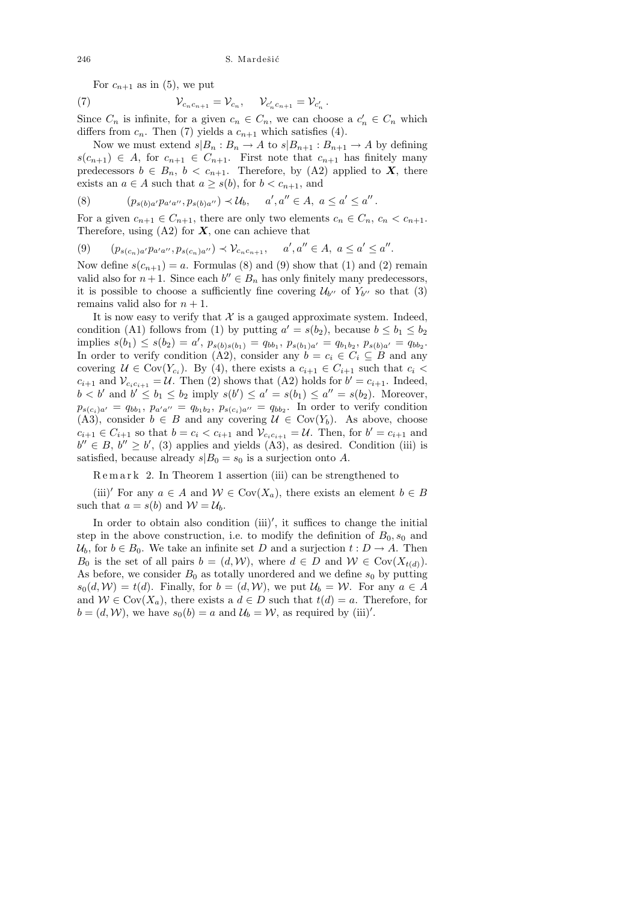For  $c_{n+1}$  as in (5), we put

(7) 
$$
V_{c_n c_{n+1}} = V_{c_n}, \quad V_{c'_n c_{n+1}} = V_{c'_n}.
$$

Since  $C_n$  is infinite, for a given  $c_n \in C_n$ , we can choose a  $c'_n \in C_n$  which differs from  $c_n$ . Then (7) yields a  $c_{n+1}$  which satisfies (4).

Now we must extend  $s|B_n : B_n \to A$  to  $s|B_{n+1} : B_{n+1} \to A$  by defining  $s(c_{n+1}) \in A$ , for  $c_{n+1} \in C_{n+1}$ . First note that  $c_{n+1}$  has finitely many predecessors  $b \in B_n$ ,  $b < c_{n+1}$ . Therefore, by (A2) applied to X, there exists an  $a \in A$  such that  $a \geq s(b)$ , for  $b < c_{n+1}$ , and

(8) 
$$
(p_{s(b)a'}p_{a'a''}, p_{s(b)a''}) \prec \mathcal{U}_b, \quad a', a'' \in A, \ a \le a' \le a''.
$$

For a given  $c_{n+1} \in C_{n+1}$ , there are only two elements  $c_n \in C_n$ ,  $c_n < c_{n+1}$ . Therefore, using  $(A2)$  for  $X$ , one can achieve that

(9)  $(p_{s(c_n)a'}p_{a'a''}, p_{s(c_n)a''}) \prec \mathcal{V}_{c_nc_{n+1}}, \quad a', a'' \in A, \ a \leq a' \leq a''.$ 

Now define  $s(c_{n+1}) = a$ . Formulas (8) and (9) show that (1) and (2) remain valid also for  $n+1$ . Since each  $b'' \in B_n$  has only finitely many predecessors, it is possible to choose a sufficiently fine covering  $\mathcal{U}_{b''}$  of  $Y_{b''}$  so that (3) remains valid also for  $n + 1$ .

It is now easy to verify that  $\mathcal X$  is a gauged approximate system. Indeed, condition (A1) follows from (1) by putting  $a' = s(b_2)$ , because  $b \le b_1 \le b_2$ implies  $s(b_1) \leq s(b_2) = a'$ ,  $p_{s(b)s(b_1)} = q_{bb_1}, p_{s(b_1)a'} = q_{b_1b_2}, p_{s(b)a'} = q_{bb_2}$ . In order to verify condition (A2), consider any  $b = c_i \in C_i \subseteq B$  and any covering  $U \in \text{Cov}(Y_{c_i})$ . By (4), there exists a  $c_{i+1} \in C_{i+1}$  such that  $c_i$  $c_{i+1}$  and  $\mathcal{V}_{c_ic_{i+1}} = \mathcal{U}$ . Then (2) shows that (A2) holds for  $b' = c_{i+1}$ . Indeed,  $b < b'$  and  $b' \le b_1 \le b_2$  imply  $s(b') \le a' = s(b_1) \le a'' = s(b_2)$ . Moreover,  $p_{s(c_i)a'} = q_{bb_1}, p_{a'a''} = q_{b_1b_2}, p_{s(c_i)a''} = q_{bb_2}.$  In order to verify condition (A3), consider  $b \in B$  and any covering  $\mathcal{U} \in \text{Cov}(Y_b)$ . As above, choose  $c_{i+1} \in C_{i+1}$  so that  $b = c_i < c_{i+1}$  and  $\mathcal{V}_{c_i c_{i+1}} = \mathcal{U}$ . Then, for  $b' = c_{i+1}$  and  $b'' \in B$ ,  $b'' \ge b'$ , (3) applies and yields (A3), as desired. Condition (iii) is satisfied, because already  $s|B_0 = s_0$  is a surjection onto A.

 $R$ e m a r k 2. In Theorem 1 assertion (iii) can be strengthened to

(iii)' For any  $a \in A$  and  $W \in Cov(X_a)$ , there exists an element  $b \in B$ such that  $a = s(b)$  and  $\mathcal{W} = \mathcal{U}_b$ .

In order to obtain also condition (iii)', it suffices to change the initial step in the above construction, i.e. to modify the definition of  $B_0$ ,  $s_0$  and  $\mathcal{U}_b$ , for  $b \in B_0$ . We take an infinite set D and a surjection  $t : D \to A$ . Then  $B_0$  is the set of all pairs  $b = (d, W)$ , where  $d \in D$  and  $W \in Cov(X_{t(d)})$ . As before, we consider  $B_0$  as totally unordered and we define  $s_0$  by putting  $s_0(d, W) = t(d)$ . Finally, for  $b = (d, W)$ , we put  $\mathcal{U}_b = \mathcal{W}$ . For any  $a \in A$ and  $W \in Cov(X_a)$ , there exists a  $d \in D$  such that  $t(d) = a$ . Therefore, for  $b = (d, W)$ , we have  $s_0(b) = a$  and  $\mathcal{U}_b = \mathcal{W}$ , as required by (iii)'.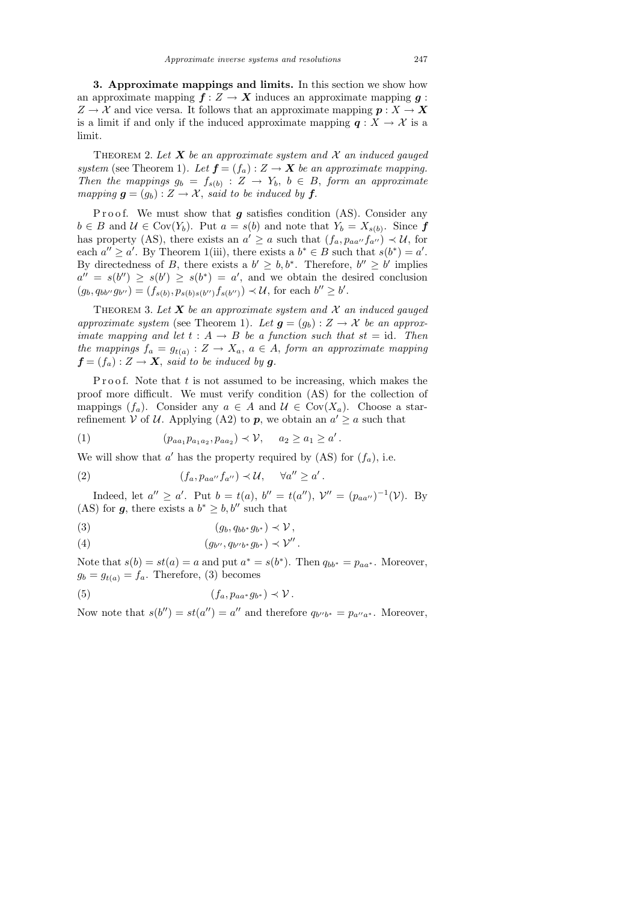3. Approximate mappings and limits. In this section we show how an approximate mapping  $f: Z \to X$  induces an approximate mapping  $g:$  $Z \to \mathcal{X}$  and vice versa. It follows that an approximate mapping  $p : X \to X$ is a limit if and only if the induced approximate mapping  $q: X \to \mathcal{X}$  is a limit.

THEOREM 2. Let  $X$  be an approximate system and  $X$  an induced gauged system (see Theorem 1). Let  $f = (f_a) : Z \to X$  be an approximate mapping. Then the mappings  $g_b = f_{s(b)} : Z \to Y_b, b \in B$ , form an approximate mapping  $g = (g_b) : Z \to \mathcal{X}$ , said to be induced by f.

Proof. We must show that  $g$  satisfies condition (AS). Consider any  $b \in B$  and  $\mathcal{U} \in \text{Cov}(Y_b)$ . Put  $a = s(b)$  and note that  $Y_b = X_{s(b)}$ . Since f has property (AS), there exists an  $a' \geq a$  such that  $(f_a, p_{aa''}f_{a''}) \prec U$ , for each  $a'' \ge a'$ . By Theorem 1(iii), there exists a  $b^* \in B$  such that  $s(b^*) = a'$ . By directedness of B, there exists a  $b' \geq b, b^*$ . Therefore,  $b'' \geq b'$  implies  $a'' = s(b'') \geq s(b') \geq s(b^*) = a'$ , and we obtain the desired conclusion  $(g_b, q_{bb''}g_{b''}) = (f_{s(b)}, p_{s(b)s(b'')}f_{s(b'')}) \prec \mathcal{U}$ , for each  $b'' \geq b'$ .

THEOREM 3. Let  $X$  be an approximate system and  $X$  an induced gauged approximate system (see Theorem 1). Let  $g = (g_b) : Z \to X$  be an approximate mapping and let  $t : A \rightarrow B$  be a function such that  $st = id$ . Then the mappings  $f_a = g_{t(a)} : Z \to X_a, a \in A$ , form an approximate mapping  $f = (f_a) : Z \to X$ , said to be induced by g.

Proof. Note that  $t$  is not assumed to be increasing, which makes the proof more difficult. We must verify condition (AS) for the collection of mappings  $(f_a)$ . Consider any  $a \in A$  and  $\mathcal{U} \in \text{Cov}(X_a)$ . Choose a starrefinement V of U. Applying (A2) to  $p$ , we obtain an  $a' \geq a$  such that

(1) 
$$
(p_{aa_1}p_{a_1a_2}, p_{aa_2}) \prec \mathcal{V}, \quad a_2 \ge a_1 \ge a'.
$$

We will show that  $a'$  has the property required by (AS) for  $(f_a)$ , i.e.

(2) 
$$
(f_a, p_{aa''}f_{a''}) \prec \mathcal{U}, \quad \forall a'' \geq a'.
$$

Indeed, let  $a'' \ge a'$ . Put  $b = t(a)$ ,  $b'' = t(a'')$ ,  $\mathcal{V}'' = (p_{aa''})^{-1}(\mathcal{V})$ . By (AS) for  $g$ , there exists a  $b^* \geq b, b''$  such that

$$
(3) \t\t\t (g_b, q_{bb^*}g_{b^*}) \prec \mathcal{V},
$$

(4) 
$$
(g_{b''}, q_{b''b^*}g_{b^*}) \prec \mathcal{V}''.
$$

Note that  $s(b) = st(a) = a$  and put  $a^* = s(b^*)$ . Then  $q_{bb^*} = p_{aa^*}$ . Moreover,  $g_b = g_{t(a)} = f_a$ . Therefore, (3) becomes

(5) 
$$
(f_a, p_{aa^*}g_{b^*}) \prec \mathcal{V}.
$$

Now note that  $s(b'') = st(a'') = a''$  and therefore  $q_{b''b^*} = p_{a''a^*}$ . Moreover,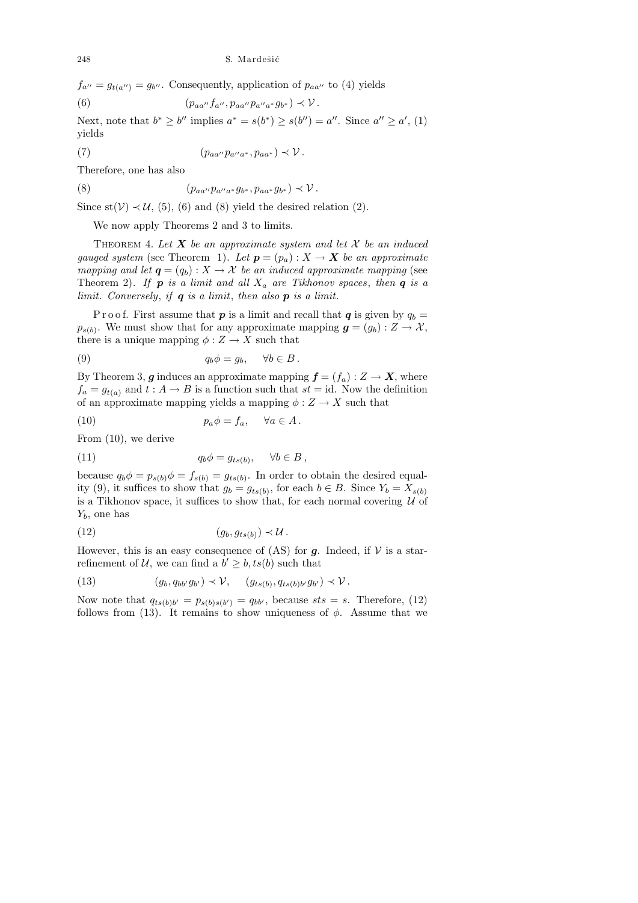$f_{a''}=g_{t(a'')}=g_{b''}.$  Consequently, application of  $p_{aa''}$  to (4) yields (6)  $(p_{aa''}f_{a''}, p_{aa''}p_{a''a*}g_{b*}) \prec \mathcal{V}.$ 

Next, note that  $b^* \geq b''$  implies  $a^* = s(b^*) \geq s(b'') = a''$ . Since  $a'' \geq a'$ , (1) yields

(7) 
$$
(p_{aa''}p_{a''a^*}, p_{aa^*}) \prec \mathcal{V}.
$$

Therefore, one has also

(8) 
$$
(p_{aa''}p_{a''a^*}g_{b^*}, p_{aa^*}g_{b^*}) \prec \mathcal{V}.
$$

Since st( $V$ )  $\prec U$ , (5), (6) and (8) yield the desired relation (2).

We now apply Theorems 2 and 3 to limits.

THEOREM 4. Let  $X$  be an approximate system and let  $X$  be an induced gauged system (see Theorem 1). Let  $p = (p_a) : X \to X$  be an approximate mapping and let  $q = (q_b) : X \to X$  be an induced approximate mapping (see Theorem 2). If **p** is a limit and all  $X_a$  are Tikhonov spaces, then **q** is a limit. Conversely, if  $q$  is a limit, then also  $p$  is a limit.

P r o o f. First assume that **p** is a limit and recall that **q** is given by  $q_b =$  $p_{s(b)}$ . We must show that for any approximate mapping  $g = (g_b) : Z \to \mathcal{X}$ , there is a unique mapping  $\phi: Z \to X$  such that

(9) 
$$
q_b \phi = g_b, \quad \forall b \in B.
$$

By Theorem 3, g induces an approximate mapping  $f = (f_a) : Z \to X$ , where  $f_a = g_{t(a)}$  and  $t : A \to B$  is a function such that  $st = id$ . Now the definition of an approximate mapping yields a mapping  $\phi: Z \to X$  such that

(10) 
$$
p_a \phi = f_a, \quad \forall a \in A.
$$

From (10), we derive

(11) 
$$
q_b \phi = g_{ts(b)}, \quad \forall b \in B,
$$

because  $q_b \phi = p_{s(b)} \phi = f_{s(b)} = g_{ts(b)}$ . In order to obtain the desired equality (9), it suffices to show that  $g_b = g_{ts(b)}$ , for each  $b \in B$ . Since  $Y_b = X_{s(b)}$ is a Tikhonov space, it suffices to show that, for each normal covering  $U$  of  $Y_b$ , one has

(12) (gb, gts(b) ) ≺ U .

However, this is an easy consequence of  $(AS)$  for g. Indeed, if  $\mathcal V$  is a starrefinement of U, we can find a  $b' \geq b$ ,  $ts(b)$  such that

(13) 
$$
(g_b, q_{bb'}g_{b'}) \prec \mathcal{V}, \quad (g_{ts(b)}, q_{ts(b)b'}g_{b'}) \prec \mathcal{V}.
$$

Now note that  $q_{ts(b)b'} = p_{s(b)s(b')} = q_{bb'}$ , because  $sts = s$ . Therefore, (12) follows from (13). It remains to show uniqueness of  $\phi$ . Assume that we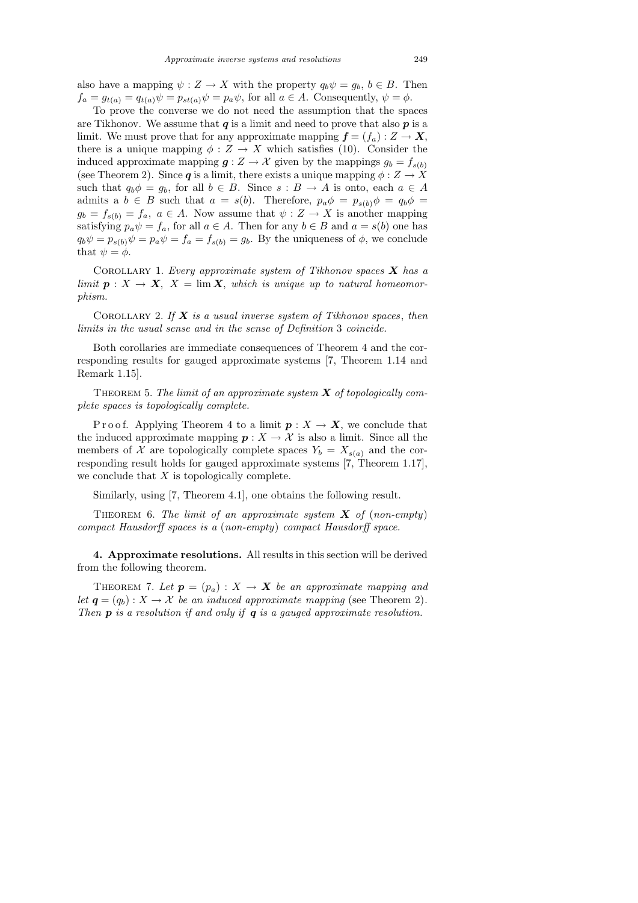also have a mapping  $\psi : Z \to X$  with the property  $q_b \psi = g_b, b \in B$ . Then  $f_a = g_{t(a)} = q_{t(a)}\psi = p_{st(a)}\psi = p_a\psi$ , for all  $a \in A$ . Consequently,  $\psi = \phi$ .

To prove the converse we do not need the assumption that the spaces are Tikhonov. We assume that  $q$  is a limit and need to prove that also  $p$  is a limit. We must prove that for any approximate mapping  $f = (f_a) : Z \to X$ , there is a unique mapping  $\phi : Z \to X$  which satisfies (10). Consider the induced approximate mapping  $g: Z \to \mathcal{X}$  given by the mappings  $g_b = f_{s(b)}$ (see Theorem 2). Since q is a limit, there exists a unique mapping  $\phi: Z \to X$ such that  $q_b\phi = g_b$ , for all  $b \in B$ . Since  $s : B \to A$  is onto, each  $a \in A$ admits a  $b \in B$  such that  $a = s(b)$ . Therefore,  $p_a \phi = p_{s(b)} \phi = q_b \phi =$  $g_b = f_{s(b)} = f_a, a \in A$ . Now assume that  $\psi : Z \to X$  is another mapping satisfying  $p_a \psi = f_a$ , for all  $a \in A$ . Then for any  $b \in B$  and  $a = s(b)$  one has  $q_b\psi = p_{s(b)}\psi = p_a\psi = f_a = f_{s(b)} = g_b$ . By the uniqueness of  $\phi$ , we conclude that  $\psi = \phi$ .

COROLLARY 1. Every approximate system of Tikhonov spaces  $X$  has a limit  $p: X \to X$ ,  $X = \lim X$ , which is unique up to natural homeomorphism.

COROLLARY 2. If  $X$  is a usual inverse system of Tikhonov spaces, then limits in the usual sense and in the sense of Definition 3 coincide.

Both corollaries are immediate consequences of Theorem 4 and the corresponding results for gauged approximate systems [7, Theorem 1.14 and Remark 1.15].

THEOREM 5. The limit of an approximate system  $X$  of topologically complete spaces is topologically complete.

P r o o f. Applying Theorem 4 to a limit  $p: X \to X$ , we conclude that the induced approximate mapping  $p: X \to \mathcal{X}$  is also a limit. Since all the members of X are topologically complete spaces  $Y_b = X_{s(a)}$  and the corresponding result holds for gauged approximate systems [7, Theorem 1.17], we conclude that  $X$  is topologically complete.

Similarly, using [7, Theorem 4.1], one obtains the following result.

THEOREM 6. The limit of an approximate system  $X$  of (non-empty) compact Hausdorff spaces is a (non-empty) compact Hausdorff space.

4. Approximate resolutions. All results in this section will be derived from the following theorem.

THEOREM 7. Let  $p = (p_a) : X \to X$  be an approximate mapping and let  $q = (q_b) : X \to X$  be an induced approximate mapping (see Theorem 2). Then  $p$  is a resolution if and only if  $q$  is a gauged approximate resolution.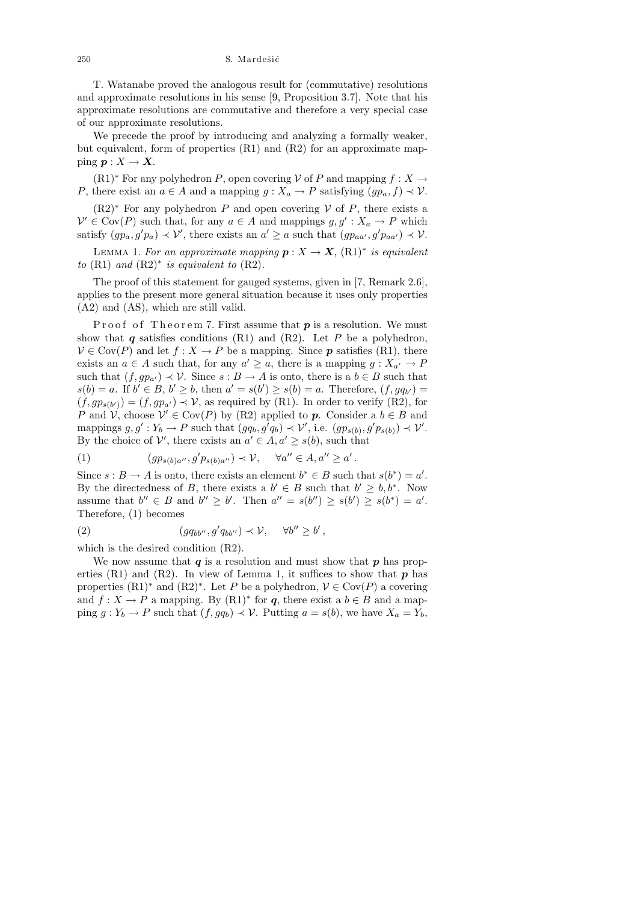250 S. Mardešić

T. Watanabe proved the analogous result for (commutative) resolutions and approximate resolutions in his sense [9, Proposition 3.7]. Note that his approximate resolutions are commutative and therefore a very special case of our approximate resolutions.

We precede the proof by introducing and analyzing a formally weaker, but equivalent, form of properties (R1) and (R2) for an approximate mapping  $p: X \to X$ .

 $(R1)$ <sup>∗</sup> For any polyhedron P, open covering V of P and mapping  $f : X \to$ P, there exist an  $a \in A$  and a mapping  $g: X_a \to P$  satisfying  $(pp_a, f) \to V$ .

 $(R2)$ <sup>∗</sup> For any polyhedron P and open covering V of P, there exists a  $\mathcal{V}' \in \text{Cov}(P)$  such that, for any  $a \in A$  and mappings  $g, g' : X_a \to P$  which satisfy  $(gp_a, g'p_a) \prec \mathcal{V}'$ , there exists an  $a' \geq a$  such that  $(gp_{aa'}, g'p_{aa'}) \prec \mathcal{V}$ .

LEMMA 1. For an approximate mapping  $p: X \to X$ ,  $(R1)^*$  is equivalent to  $(R1)$  and  $(R2)*$  is equivalent to  $(R2)$ .

The proof of this statement for gauged systems, given in [7, Remark 2.6], applies to the present more general situation because it uses only properties (A2) and (AS), which are still valid.

Proof of Theorem 7. First assume that  $p$  is a resolution. We must show that  $q$  satisfies conditions (R1) and (R2). Let P be a polyhedron,  $V \in \text{Cov}(P)$  and let  $f: X \to P$  be a mapping. Since **p** satisfies (R1), there exists an  $a \in A$  such that, for any  $a' \geq a$ , there is a mapping  $g: X_{a'} \to P$ such that  $(f, gp_{a'}) \prec \mathcal{V}$ . Since  $s : B \to A$  is onto, there is a  $b \in B$  such that  $s(b) = a$ . If  $b' \in B$ ,  $b' \ge b$ , then  $a' = s(b') \ge s(b) = a$ . Therefore,  $(f, gq_{b'}) =$  $(f, gp_{s(b)}) = (f, gp_{a'}) \prec \mathcal{V}$ , as required by (R1). In order to verify (R2), for P and  $\mathcal{V}$ , choose  $\mathcal{V}' \in \text{Cov}(P)$  by (R2) applied to p. Consider a  $b \in B$  and mappings  $g, g' : Y_b \to P$  such that  $(gq_b, g'q_b) \prec \mathcal{V}'$ , i.e.  $(gp_{s(b)}, g'p_{s(b)}) \prec \mathcal{V}'$ . By the choice of  $\mathcal{V}'$ , there exists an  $a' \in A$ ,  $a' \geq s(b)$ , such that

(1) 
$$
(gp_{s(b)a''}, g'p_{s(b)a''}) \prec \mathcal{V}, \quad \forall a'' \in A, a'' \ge a'.
$$

Since  $s : B \to A$  is onto, there exists an element  $b^* \in B$  such that  $s(b^*) = a'$ . By the directedness of B, there exists a  $b' \in B$  such that  $b' \geq b, b^*$ . Now assume that  $b'' \in B$  and  $b'' \ge b'$ . Then  $a'' = s(b'') \ge s(b') \ge s(b^*) = a'$ . Therefore, (1) becomes

(2) 
$$
(g q_{bb''}, g' q_{bb''}) \prec \mathcal{V}, \quad \forall b'' \geq b',
$$

which is the desired condition (R2).

We now assume that  $q$  is a resolution and must show that  $p$  has properties (R1) and (R2). In view of Lemma 1, it suffices to show that  $p$  has properties  $(R1)^*$  and  $(R2)^*$ . Let P be a polyhedron,  $V \in Cov(P)$  a covering and  $f: X \to P$  a mapping. By  $(R1)^*$  for q, there exist a  $b \in B$  and a mapping  $g: Y_b \to P$  such that  $(f, g q_b) \to V$ . Putting  $a = s(b)$ , we have  $X_a = Y_b$ ,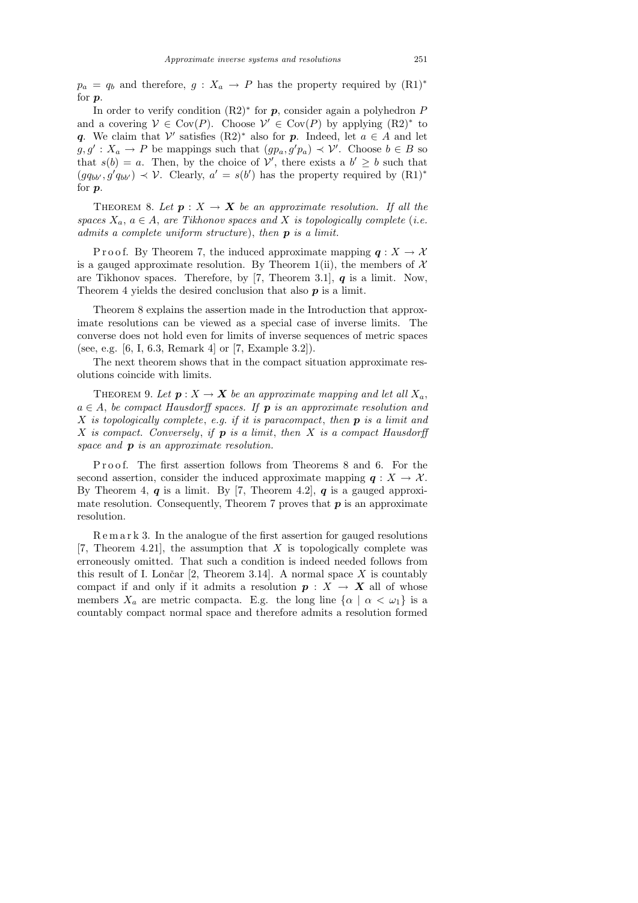$p_a = q_b$  and therefore,  $g : X_a \to P$  has the property required by  $(R1)^*$ for p.

In order to verify condition  $(R2)$ <sup>\*</sup> for  $p$ , consider again a polyhedron  $P$ and a covering  $V \in \text{Cov}(P)$ . Choose  $V' \in \text{Cov}(P)$  by applying  $(R2)^*$  to q. We claim that  $\mathcal{V}'$  satisfies  $(R2)^*$  also for p. Indeed, let  $a \in A$  and let  $g, g' : X_a \to P$  be mappings such that  $(gp_a, g'p_a) \prec \mathcal{V}'$ . Choose  $b \in B$  so that  $s(b) = a$ . Then, by the choice of  $\mathcal{V}'$ , there exists a  $b' \geq b$  such that  $(gq_{bb'}, g'q_{bb'}) \prec \mathcal{V}$ . Clearly,  $a' = s(b')$  has the property required by  $(R1)^*$ for p.

THEOREM 8. Let  $p : X \to X$  be an approximate resolution. If all the spaces  $X_a$ ,  $a \in A$ , are Tikhonov spaces and X is topologically complete (i.e. admits a complete uniform structure), then  $p$  is a limit.

P r o o f. By Theorem 7, the induced approximate mapping  $q: X \to X$ is a gauged approximate resolution. By Theorem 1(ii), the members of  $X$ are Tikhonov spaces. Therefore, by [7, Theorem 3.1],  $q$  is a limit. Now, Theorem 4 yields the desired conclusion that also  $p$  is a limit.

Theorem 8 explains the assertion made in the Introduction that approximate resolutions can be viewed as a special case of inverse limits. The converse does not hold even for limits of inverse sequences of metric spaces (see, e.g. [6, I, 6.3, Remark 4] or [7, Example 3.2]).

The next theorem shows that in the compact situation approximate resolutions coincide with limits.

THEOREM 9. Let  $p: X \to X$  be an approximate mapping and let all  $X_a$ ,  $a \in A$ , be compact Hausdorff spaces. If **p** is an approximate resolution and X is topologically complete, e.g. if it is paracompact, then  $p$  is a limit and X is compact. Conversely, if  $p$  is a limit, then X is a compact Hausdorff space and **p** is an approximate resolution.

Proof. The first assertion follows from Theorems 8 and 6. For the second assertion, consider the induced approximate mapping  $q: X \to \mathcal{X}$ . By Theorem 4,  $q$  is a limit. By [7, Theorem 4.2],  $q$  is a gauged approximate resolution. Consequently, Theorem 7 proves that  $p$  is an approximate resolution.

R e m a r k 3. In the analogue of the first assertion for gauged resolutions [7, Theorem 4.21], the assumption that  $X$  is topologically complete was erroneously omitted. That such a condition is indeed needed follows from this result of I. Lončar  $[2,$  Theorem 3.14. A normal space X is countably compact if and only if it admits a resolution  $p : X \to X$  all of whose members  $X_a$  are metric compacta. E.g. the long line  $\{\alpha \mid \alpha < \omega_1\}$  is a countably compact normal space and therefore admits a resolution formed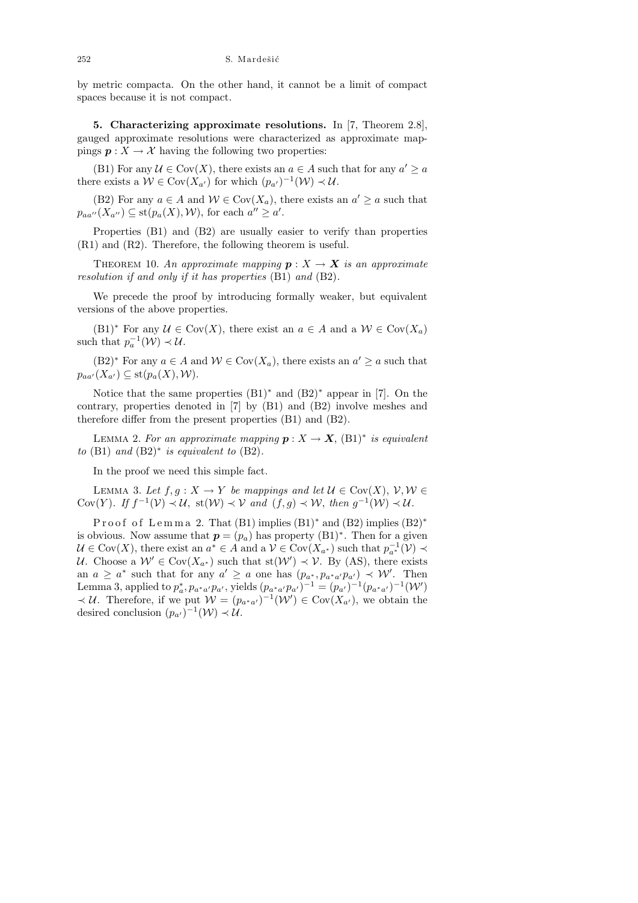by metric compacta. On the other hand, it cannot be a limit of compact spaces because it is not compact.

5. Characterizing approximate resolutions. In [7, Theorem 2.8], gauged approximate resolutions were characterized as approximate mappings  $p: X \to \mathcal{X}$  having the following two properties:

(B1) For any  $\mathcal{U} \in \text{Cov}(X)$ , there exists an  $a \in A$  such that for any  $a' \ge a$ there exists a  $W \in \text{Cov}(X_{a'})$  for which  $(p_{a'})^{-1}(W) \prec \mathcal{U}$ .

(B2) For any  $a \in A$  and  $W \in Cov(X_a)$ , there exists an  $a' \ge a$  such that  $p_{aa''}(X_{a''}) \subseteq \text{st}(p_a(X), W)$ , for each  $a'' \ge a'$ .

Properties (B1) and (B2) are usually easier to verify than properties (R1) and (R2). Therefore, the following theorem is useful.

THEOREM 10. An approximate mapping  $p: X \rightarrow X$  is an approximate resolution if and only if it has properties (B1) and (B2).

We precede the proof by introducing formally weaker, but equivalent versions of the above properties.

 $(B1)^*$  For any  $\mathcal{U} \in \text{Cov}(X)$ , there exist an  $a \in A$  and a  $\mathcal{W} \in \text{Cov}(X_a)$ such that  $p_a^{-1}(\mathcal{W}) \prec \mathcal{U}$ .

 $(B2)^*$  For any  $a \in A$  and  $W \in Cov(X_a)$ , there exists an  $a' \ge a$  such that  $p_{aa'}(X_{a'}) \subseteq \text{st}(p_a(X), \mathcal{W}).$ 

Notice that the same properties (B1)<sup>∗</sup> and (B2)<sup>∗</sup> appear in [7]. On the contrary, properties denoted in [7] by (B1) and (B2) involve meshes and therefore differ from the present properties (B1) and (B2).

LEMMA 2. For an approximate mapping  $p: X \to X$ ,  $(B1)^*$  is equivalent to  $(B1)$  and  $(B2)^*$  is equivalent to  $(B2)$ .

In the proof we need this simple fact.

LEMMA 3. Let  $f, g: X \to Y$  be mappings and let  $\mathcal{U} \in \text{Cov}(X), \mathcal{V}, \mathcal{W} \in$ Cov(Y). If  $f^{-1}(\mathcal{V}) \prec \mathcal{U}$ , st $(\mathcal{W}) \prec \mathcal{V}$  and  $(f, g) \prec \mathcal{W}$ , then  $g^{-1}(\mathcal{W}) \prec \mathcal{U}$ .

Proof of Lemma 2. That  $(B1)$  implies  $(B1)^*$  and  $(B2)$  implies  $(B2)^*$ is obvious. Now assume that  $p = (p_a)$  has property  $(B1)^*$ . Then for a given  $\mathcal{U} \in \text{Cov}(X)$ , there exist an  $a^* \in A$  and a  $\mathcal{V} \in \text{Cov}(X_{a^*})$  such that  $p_{a^*}^{-1}(\mathcal{V}) \prec$ U. Choose a  $W' \in Cov(X_{a^*})$  such that  $st(W') \prec V$ . By (AS), there exists an  $a \ge a^*$  such that for any  $a' \ge a$  one has  $(p_{a^*}, p_{a^*a'}p_{a'}) \prec \mathcal{W}'$ . Then Lemma 3, applied to  $p_a^*, p_{a^*a'}p_{a'}$ , yields  $(p_{a^*a'}p_{a'})^{-1} = (p_{a'})^{-1}(p_{a^*a'})^{-1}(\mathcal{W}')$  $\prec \mathcal{U}$ . Therefore, if we put  $\mathcal{W} = (p_{a^*a'})^{-1}(\mathcal{W}') \in \text{Cov}(X_{a'})$ , we obtain the desired conclusion  $(p_{a'})^{-1}(\mathcal{W}) \prec \mathcal{U}$ .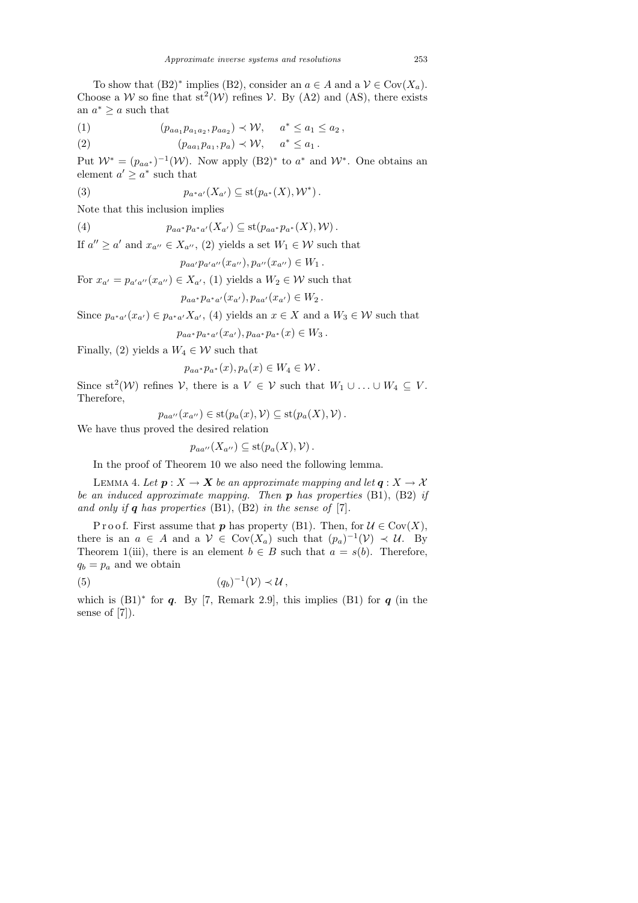To show that  $(B2)^*$  implies  $(B2)$ , consider an  $a \in A$  and a  $\mathcal{V} \in \text{Cov}(X_a)$ . Choose a W so fine that  $st^2(W)$  refines V. By (A2) and (AS), there exists an  $a^* \geq a$  such that

(1) 
$$
(p_{aa_1}p_{a_1a_2}, p_{aa_2}) \prec \mathcal{W}, \quad a^* \le a_1 \le a_2,
$$

(2) 
$$
(p_{aa_1}p_{a_1}, p_a) \prec \mathcal{W}, \quad a^* \leq a_1.
$$

Put  $\mathcal{W}^* = (p_{aa^*})^{-1}(\mathcal{W})$ . Now apply  $(B2)^*$  to  $a^*$  and  $\mathcal{W}^*$ . One obtains an element  $a' \geq a^*$  such that

(3) 
$$
p_{a^*a'}(X_{a'}) \subseteq \mathrm{st}(p_{a^*}(X), \mathcal{W}^*).
$$

Note that this inclusion implies

(4) 
$$
p_{aa^*}p_{a^*a'}(X_{a'}) \subseteq \text{st}(p_{aa^*}p_{a^*}(X), \mathcal{W}).
$$

If  $a'' \ge a'$  and  $x_{a''} \in X_{a''}$ , (2) yields a set  $W_1 \in \mathcal{W}$  such that

$$
p_{aa'}p_{a'a''}(x_{a''}), p_{a''}(x_{a''}) \in W_1.
$$

For  $x_{a'} = p_{a'a''}(x_{a''}) \in X_{a'}$ , (1) yields a  $W_2 \in \mathcal{W}$  such that

$$
p_{aa^*}p_{a^*a'}(x_{a'}), p_{aa'}(x_{a'}) \in W_2.
$$

Since  $p_{a^*a'}(x_{a'}) \in p_{a^*a'}X_{a'}$ , (4) yields an  $x \in X$  and a  $W_3 \in \mathcal{W}$  such that

$$
p_{aa^*}p_{a^*a'}(x_{a'}), p_{aa^*}p_{a^*}(x) \in W_3.
$$

Finally, (2) yields a  $W_4 \in \mathcal{W}$  such that

$$
p_{aa^*}p_{a^*}(x), p_a(x) \in W_4 \in \mathcal{W}.
$$

Since  $st^2(W)$  refines V, there is a  $V \in V$  such that  $W_1 \cup ... \cup W_4 \subseteq V$ . Therefore,

$$
p_{aa''}(x_{a''}) \in \mathrm{st}(p_a(x), \mathcal{V}) \subseteq \mathrm{st}(p_a(X), \mathcal{V}).
$$

We have thus proved the desired relation

$$
p_{aa''}(X_{a''}) \subseteq \mathrm{st}(p_a(X), \mathcal{V}) .
$$

In the proof of Theorem 10 we also need the following lemma.

LEMMA 4. Let  $p: X \to X$  be an approximate mapping and let  $q: X \to X$ be an induced approximate mapping. Then  $p$  has properties (B1), (B2) if and only if  $q$  has properties (B1), (B2) in the sense of [7].

P r o o f. First assume that p has property (B1). Then, for  $\mathcal{U} \in \text{Cov}(X)$ , there is an  $a \in A$  and a  $\mathcal{V} \in \text{Cov}(X_a)$  such that  $(p_a)^{-1}(\mathcal{V}) \prec \mathcal{U}$ . By Theorem 1(iii), there is an element  $b \in B$  such that  $a = s(b)$ . Therefore,  $q_b = p_a$  and we obtain

$$
(5) \t\t (q_b)^{-1}(\mathcal{V}) \prec \mathcal{U},
$$

which is  $(B1)^*$  for q. By [7, Remark 2.9], this implies  $(B1)$  for q (in the sense of [7]).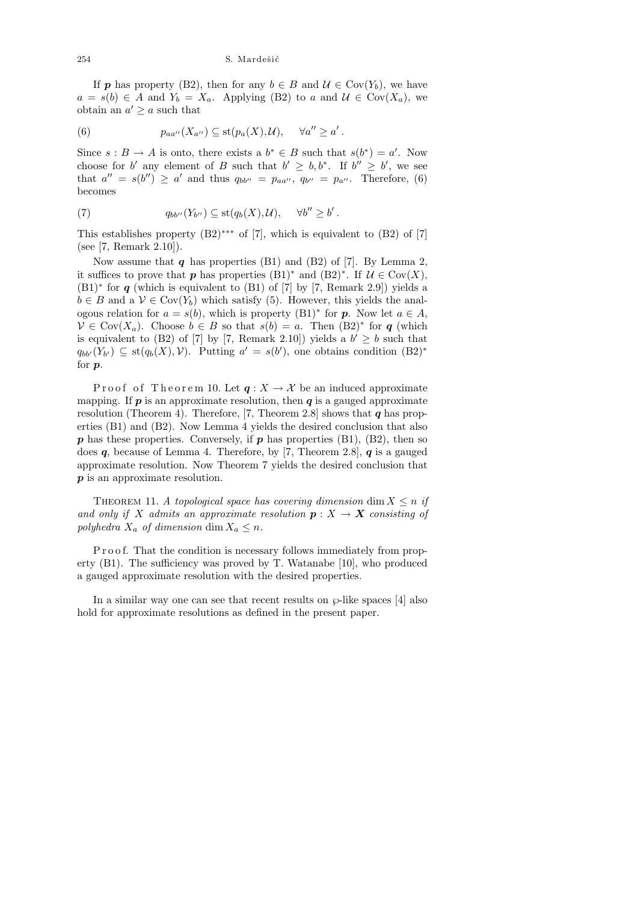If **p** has property (B2), then for any  $b \in B$  and  $\mathcal{U} \in \text{Cov}(Y_b)$ , we have  $a = s(b) \in A$  and  $Y_b = X_a$ . Applying (B2) to a and  $\mathcal{U} \in \text{Cov}(X_a)$ , we obtain an  $a' \geq a$  such that

(6) 
$$
p_{aa''}(X_{a''}) \subseteq \mathrm{st}(p_a(X),\mathcal{U}), \quad \forall a'' \geq a'.
$$

Since  $s : B \to A$  is onto, there exists a  $b^* \in B$  such that  $s(b^*) = a'$ . Now choose for b' any element of B such that  $b' \geq b, b^*$ . If  $b'' \geq b'$ , we see that  $a'' = s(b'') \ge a'$  and thus  $q_{bb''} = p_{aa''}, q_{b''} = p_{a''}.$  Therefore, (6) becomes

(7) 
$$
q_{bb''}(Y_{b''}) \subseteq \text{st}(q_b(X), \mathcal{U}), \quad \forall b'' \geq b'.
$$

This establishes property  $(B2)$ <sup>∗∗∗</sup> of [7], which is equivalent to  $(B2)$  of [7] (see [7, Remark 2.10]).

Now assume that  $q$  has properties (B1) and (B2) of [7]. By Lemma 2, it suffices to prove that **p** has properties  $(B1)^*$  and  $(B2)^*$ . If  $\mathcal{U} \in \text{Cov}(X)$ ,  $(B1)$ <sup>\*</sup> for q (which is equivalent to  $(B1)$  of [7] by [7, Remark 2.9]) yields a  $b \in B$  and a  $V \in \text{Cov}(Y_b)$  which satisfy (5). However, this yields the analogous relation for  $a = s(b)$ , which is property  $(B1)^*$  for  $p$ . Now let  $a \in A$ ,  $V \in Cov(X_a)$ . Choose  $b \in B$  so that  $s(b) = a$ . Then  $(B2)^*$  for q (which is equivalent to (B2) of [7] by [7, Remark 2.10]) yields a  $b' \geq b$  such that  $q_{bb'}(Y_{b'}) \subseteq st(q_b(X), V)$ . Putting  $a' = s(b')$ , one obtains condition  $(B2)^*$ for p.

P roof of Theorem 10. Let  $q: X \to X$  be an induced approximate mapping. If  $p$  is an approximate resolution, then  $q$  is a gauged approximate resolution (Theorem 4). Therefore, [7, Theorem 2.8] shows that  $q$  has properties (B1) and (B2). Now Lemma 4 yields the desired conclusion that also  $p$  has these properties. Conversely, if  $p$  has properties (B1), (B2), then so does  $q$ , because of Lemma 4. Therefore, by [7, Theorem 2.8],  $q$  is a gauged approximate resolution. Now Theorem 7 yields the desired conclusion that p is an approximate resolution.

THEOREM 11. A topological space has covering dimension dim  $X \leq n$  if and only if X admits an approximate resolution  $p: X \to X$  consisting of polyhedra  $X_a$  of dimension dim  $X_a \leq n$ .

P r o o f. That the condition is necessary follows immediately from property (B1). The sufficiency was proved by T. Watanabe [10], who produced a gauged approximate resolution with the desired properties.

In a similar way one can see that recent results on  $\wp$ -like spaces [4] also hold for approximate resolutions as defined in the present paper.